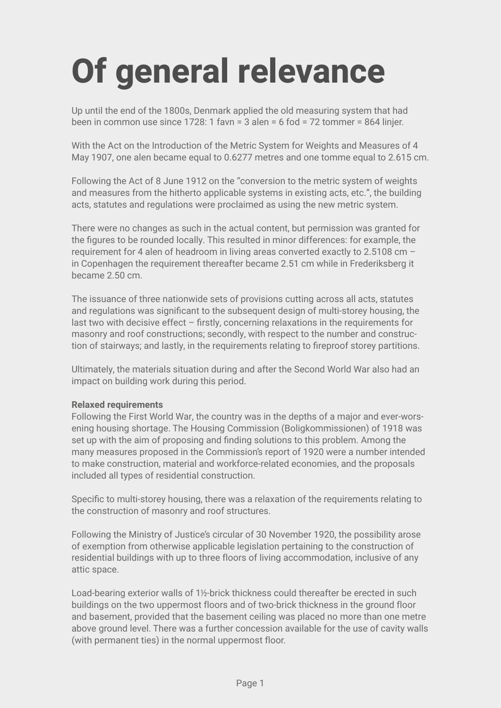# **Of general relevance**

Up until the end of the 1800s, Denmark applied the old measuring system that had been in common use since 1728: 1 favn = 3 alen = 6 fod = 72 tommer = 864 linjer.

With the Act on the Introduction of the Metric System for Weights and Measures of 4 May 1907, one alen became equal to 0.6277 metres and one tomme equal to 2.615 cm.

Following the Act of 8 June 1912 on the "conversion to the metric system of weights and measures from the hitherto applicable systems in existing acts, etc.", the building acts, statutes and regulations were proclaimed as using the new metric system.

There were no changes as such in the actual content, but permission was granted for the figures to be rounded locally. This resulted in minor differences: for example, the requirement for 4 alen of headroom in living areas converted exactly to 2.5108 cm – in Copenhagen the requirement thereafter became 2.51 cm while in Frederiksberg it became 2.50 cm.

The issuance of three nationwide sets of provisions cutting across all acts, statutes and regulations was significant to the subsequent design of multi-storey housing, the last two with decisive effect – firstly, concerning relaxations in the requirements for masonry and roof constructions; secondly, with respect to the number and construction of stairways; and lastly, in the requirements relating to fireproof storey partitions.

Ultimately, the materials situation during and after the Second World War also had an impact on building work during this period.

## **Relaxed requirements**

Following the First World War, the country was in the depths of a major and ever-worsening housing shortage. The Housing Commission (Boligkommissionen) of 1918 was set up with the aim of proposing and finding solutions to this problem. Among the many measures proposed in the Commission's report of 1920 were a number intended to make construction, material and workforce-related economies, and the proposals included all types of residential construction.

Specific to multi-storey housing, there was a relaxation of the requirements relating to the construction of masonry and roof structures.

Following the Ministry of Justice's circular of 30 November 1920, the possibility arose of exemption from otherwise applicable legislation pertaining to the construction of residential buildings with up to three floors of living accommodation, inclusive of any attic space.

Load-bearing exterior walls of 1½-brick thickness could thereafter be erected in such buildings on the two uppermost floors and of two-brick thickness in the ground floor and basement, provided that the basement ceiling was placed no more than one metre above ground level. There was a further concession available for the use of cavity walls (with permanent ties) in the normal uppermost floor.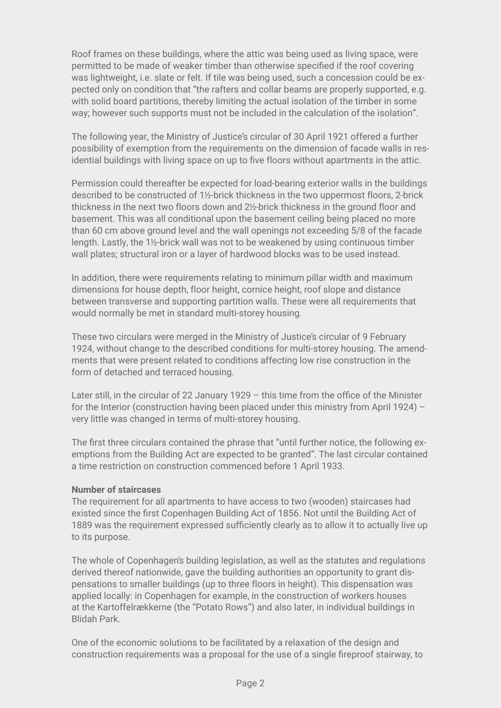Roof frames on these buildings, where the attic was being used as living space, were permitted to be made of weaker timber than otherwise specified if the roof covering was lightweight, i.e. slate or felt. If tile was being used, such a concession could be expected only on condition that "the rafters and collar beams are properly supported, e.g. with solid board partitions, thereby limiting the actual isolation of the timber in some way; however such supports must not be included in the calculation of the isolation".

The following year, the Ministry of Justice's circular of 30 April 1921 offered a further possibility of exemption from the requirements on the dimension of facade walls in residential buildings with living space on up to five floors without apartments in the attic.

Permission could thereafter be expected for load-bearing exterior walls in the buildings described to be constructed of 1½-brick thickness in the two uppermost floors, 2-brick thickness in the next two floors down and 2½-brick thickness in the ground floor and basement. This was all conditional upon the basement ceiling being placed no more than 60 cm above ground level and the wall openings not exceeding 5/8 of the facade length. Lastly, the 1½-brick wall was not to be weakened by using continuous timber wall plates; structural iron or a layer of hardwood blocks was to be used instead.

In addition, there were requirements relating to minimum pillar width and maximum dimensions for house depth, floor height, cornice height, roof slope and distance between transverse and supporting partition walls. These were all requirements that would normally be met in standard multi-storey housing.

These two circulars were merged in the Ministry of Justice's circular of 9 February 1924, without change to the described conditions for multi-storey housing. The amendments that were present related to conditions affecting low rise construction in the form of detached and terraced housing.

Later still, in the circular of 22 January 1929 – this time from the office of the Minister for the Interior (construction having been placed under this ministry from April 1924) – very little was changed in terms of multi-storey housing.

The first three circulars contained the phrase that "until further notice, the following exemptions from the Building Act are expected to be granted". The last circular contained a time restriction on construction commenced before 1 April 1933.

#### **Number of staircases**

The requirement for all apartments to have access to two (wooden) staircases had existed since the first Copenhagen Building Act of 1856. Not until the Building Act of 1889 was the requirement expressed sufficiently clearly as to allow it to actually live up to its purpose.

The whole of Copenhagen's building legislation, as well as the statutes and regulations derived thereof nationwide, gave the building authorities an opportunity to grant dispensations to smaller buildings (up to three floors in height). This dispensation was applied locally: in Copenhagen for example, in the construction of workers houses at the Kartoffelrækkerne (the "Potato Rows") and also later, in individual buildings in Blidah Park.

One of the economic solutions to be facilitated by a relaxation of the design and construction requirements was a proposal for the use of a single fireproof stairway, to